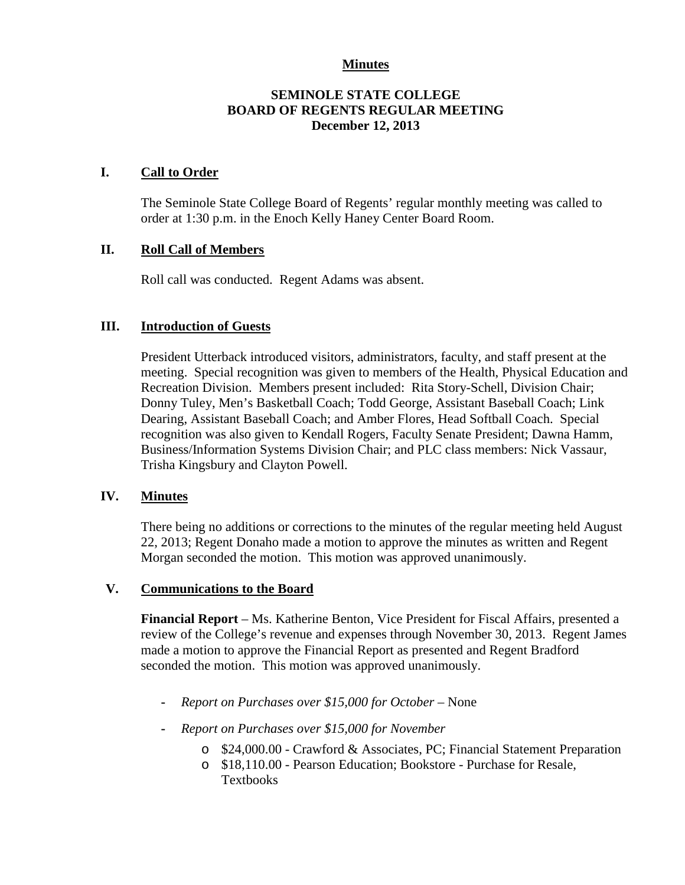#### **Minutes**

#### **SEMINOLE STATE COLLEGE BOARD OF REGENTS REGULAR MEETING December 12, 2013**

#### **I. Call to Order**

The Seminole State College Board of Regents' regular monthly meeting was called to order at 1:30 p.m. in the Enoch Kelly Haney Center Board Room.

#### **II. Roll Call of Members**

Roll call was conducted. Regent Adams was absent.

#### **III. Introduction of Guests**

President Utterback introduced visitors, administrators, faculty, and staff present at the meeting. Special recognition was given to members of the Health, Physical Education and Recreation Division. Members present included: Rita Story-Schell, Division Chair; Donny Tuley, Men's Basketball Coach; Todd George, Assistant Baseball Coach; Link Dearing, Assistant Baseball Coach; and Amber Flores, Head Softball Coach. Special recognition was also given to Kendall Rogers, Faculty Senate President; Dawna Hamm, Business/Information Systems Division Chair; and PLC class members: Nick Vassaur, Trisha Kingsbury and Clayton Powell.

#### **IV. Minutes**

There being no additions or corrections to the minutes of the regular meeting held August 22, 2013; Regent Donaho made a motion to approve the minutes as written and Regent Morgan seconded the motion. This motion was approved unanimously.

#### **V. Communications to the Board**

**Financial Report** – Ms. Katherine Benton, Vice President for Fiscal Affairs, presented a review of the College's revenue and expenses through November 30, 2013. Regent James made a motion to approve the Financial Report as presented and Regent Bradford seconded the motion. This motion was approved unanimously.

- **-** *Report on Purchases over \$15,000 for October –* None
- **-** *Report on Purchases over \$15,000 for November* 
	- o \$24,000.00 Crawford & Associates, PC; Financial Statement Preparation
	- o \$18,110.00 Pearson Education; Bookstore Purchase for Resale, Textbooks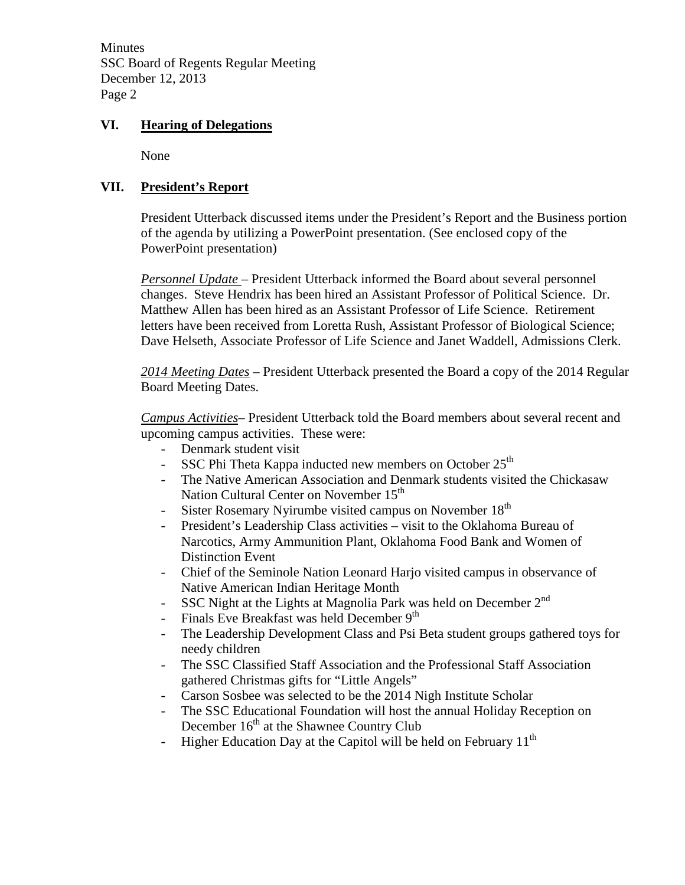**Minutes** SSC Board of Regents Regular Meeting December 12, 2013 Page 2

#### **VI. Hearing of Delegations**

None

#### **VII. President's Report**

President Utterback discussed items under the President's Report and the Business portion of the agenda by utilizing a PowerPoint presentation. (See enclosed copy of the PowerPoint presentation)

*Personnel Update* – President Utterback informed the Board about several personnel changes. Steve Hendrix has been hired an Assistant Professor of Political Science. Dr. Matthew Allen has been hired as an Assistant Professor of Life Science. Retirement letters have been received from Loretta Rush, Assistant Professor of Biological Science; Dave Helseth, Associate Professor of Life Science and Janet Waddell, Admissions Clerk.

*2014 Meeting Dates –* President Utterback presented the Board a copy of the 2014 Regular Board Meeting Dates.

*Campus Activities*– President Utterback told the Board members about several recent and upcoming campus activities. These were:

- Denmark student visit
- SSC Phi Theta Kappa inducted new members on October  $25<sup>th</sup>$
- The Native American Association and Denmark students visited the Chickasaw Nation Cultural Center on November 15<sup>th</sup>
- Sister Rosemary Nyirumbe visited campus on November 18<sup>th</sup>
- President's Leadership Class activities visit to the Oklahoma Bureau of Narcotics, Army Ammunition Plant, Oklahoma Food Bank and Women of Distinction Event
- Chief of the Seminole Nation Leonard Harjo visited campus in observance of Native American Indian Heritage Month
- SSC Night at the Lights at Magnolia Park was held on December 2<sup>nd</sup>
- Finals Eve Breakfast was held December  $9<sup>th</sup>$
- The Leadership Development Class and Psi Beta student groups gathered toys for needy children
- The SSC Classified Staff Association and the Professional Staff Association gathered Christmas gifts for "Little Angels"
- Carson Sosbee was selected to be the 2014 Nigh Institute Scholar
- The SSC Educational Foundation will host the annual Holiday Reception on December  $16<sup>th</sup>$  at the Shawnee Country Club
- Higher Education Day at the Capitol will be held on February  $11<sup>th</sup>$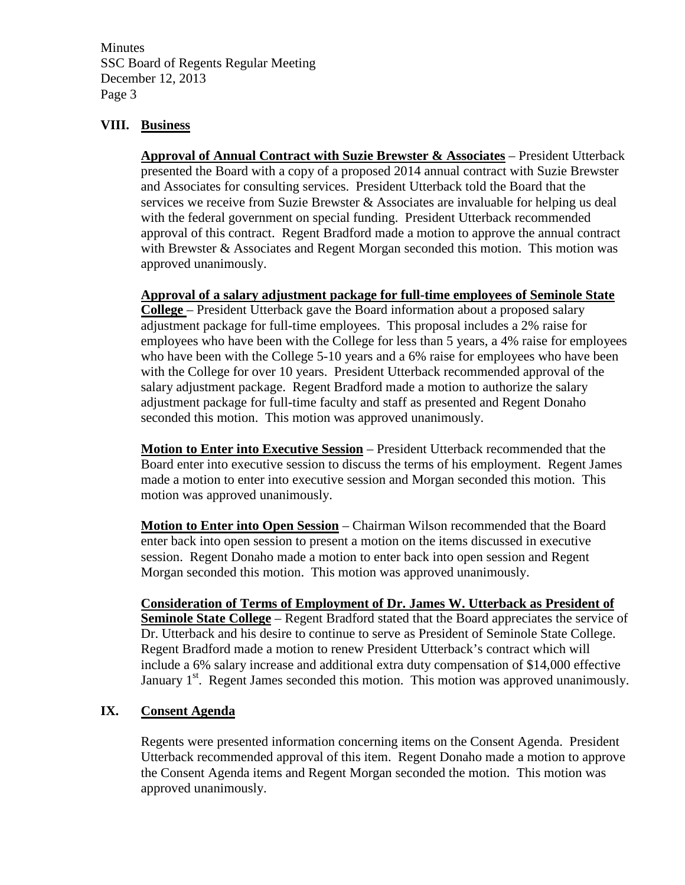**Minutes** SSC Board of Regents Regular Meeting December 12, 2013 Page 3

#### **VIII. Business**

**Approval of Annual Contract with Suzie Brewster & Associates** – President Utterback presented the Board with a copy of a proposed 2014 annual contract with Suzie Brewster and Associates for consulting services. President Utterback told the Board that the services we receive from Suzie Brewster & Associates are invaluable for helping us deal with the federal government on special funding. President Utterback recommended approval of this contract. Regent Bradford made a motion to approve the annual contract with Brewster & Associates and Regent Morgan seconded this motion. This motion was approved unanimously.

**Approval of a salary adjustment package for full-time employees of Seminole State College** – President Utterback gave the Board information about a proposed salary adjustment package for full-time employees. This proposal includes a 2% raise for employees who have been with the College for less than 5 years, a 4% raise for employees who have been with the College 5-10 years and a 6% raise for employees who have been with the College for over 10 years. President Utterback recommended approval of the salary adjustment package. Regent Bradford made a motion to authorize the salary adjustment package for full-time faculty and staff as presented and Regent Donaho seconded this motion. This motion was approved unanimously.

**Motion to Enter into Executive Session** – President Utterback recommended that the Board enter into executive session to discuss the terms of his employment. Regent James made a motion to enter into executive session and Morgan seconded this motion. This motion was approved unanimously.

**Motion to Enter into Open Session** – Chairman Wilson recommended that the Board enter back into open session to present a motion on the items discussed in executive session. Regent Donaho made a motion to enter back into open session and Regent Morgan seconded this motion. This motion was approved unanimously.

**Consideration of Terms of Employment of Dr. James W. Utterback as President of Seminole State College** – Regent Bradford stated that the Board appreciates the service of Dr. Utterback and his desire to continue to serve as President of Seminole State College. Regent Bradford made a motion to renew President Utterback's contract which will include a 6% salary increase and additional extra duty compensation of \$14,000 effective January  $1<sup>st</sup>$ . Regent James seconded this motion. This motion was approved unanimously.

#### **IX. Consent Agenda**

Regents were presented information concerning items on the Consent Agenda. President Utterback recommended approval of this item. Regent Donaho made a motion to approve the Consent Agenda items and Regent Morgan seconded the motion. This motion was approved unanimously.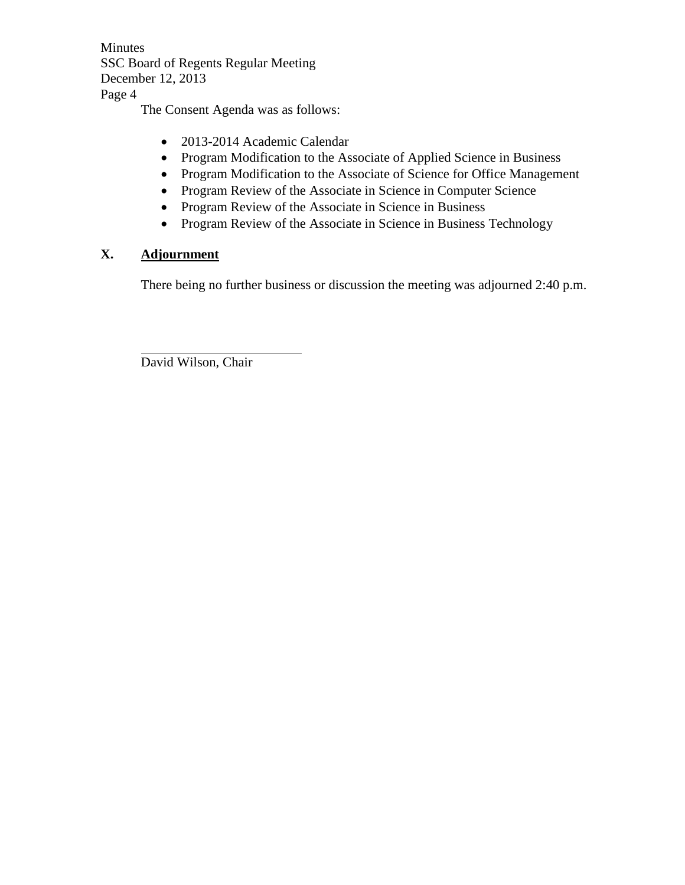Minutes SSC Board of Regents Regular Meeting December 12, 2013 Page 4

The Consent Agenda was as follows:

- 2013-2014 Academic Calendar
- Program Modification to the Associate of Applied Science in Business
- Program Modification to the Associate of Science for Office Management
- Program Review of the Associate in Science in Computer Science
- Program Review of the Associate in Science in Business
- Program Review of the Associate in Science in Business Technology

### **X. Adjournment**

 $\overline{a}$ 

There being no further business or discussion the meeting was adjourned 2:40 p.m.

David Wilson, Chair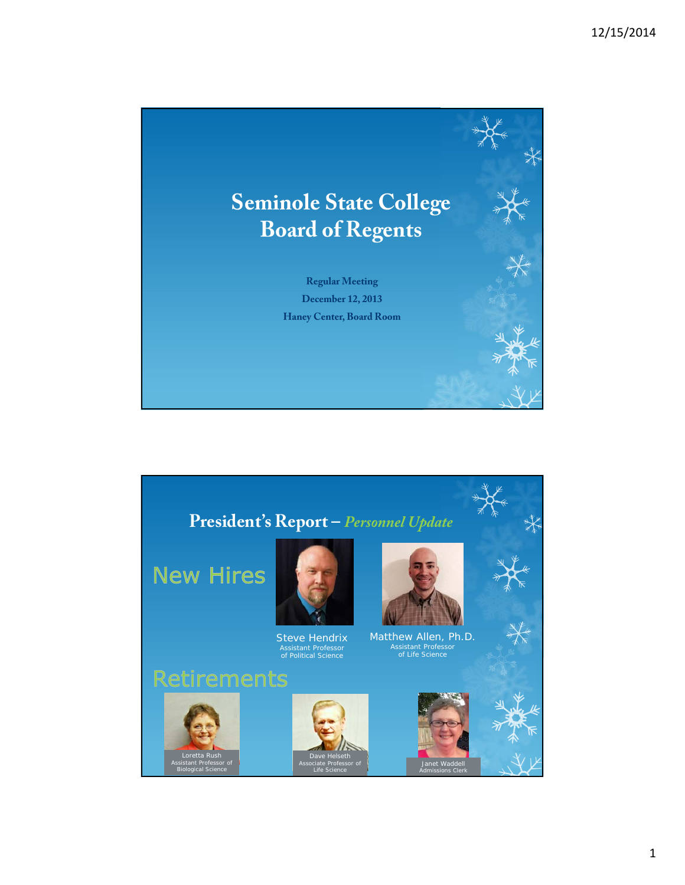

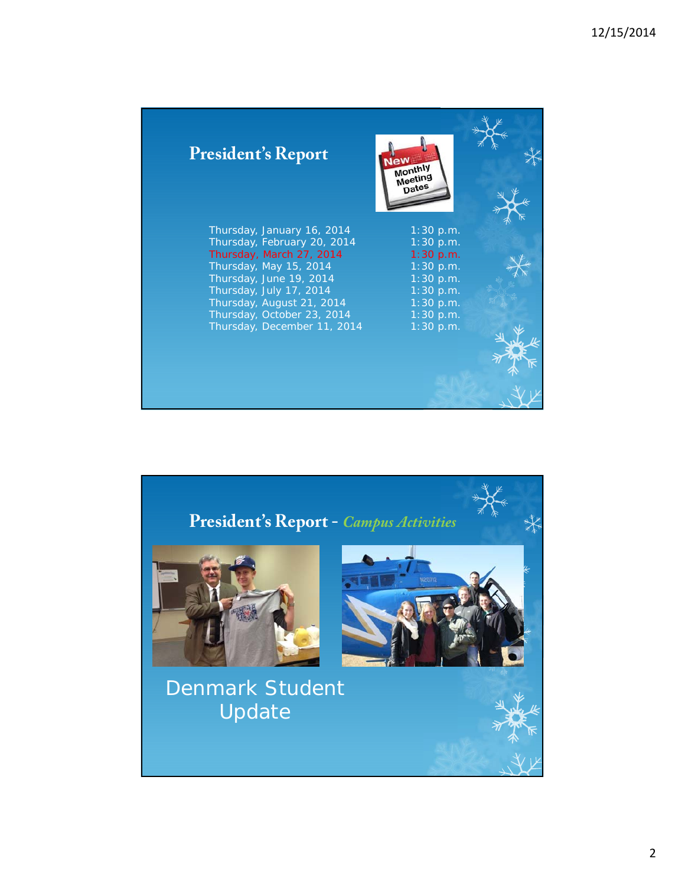## **President's Report**



Thursday, February 20, 2014 1:30 p.m. **Thursday, January 16, 2014** 1:30 p.m.<br> **Thursday, February 20, 2014** 1:30 p.m.<br> **Thursday, March 27, 2014** 1:30 p.m.<br> **Thursday, May 15, 2014** 1:30 p.m. Thursday, May 15, 2014 1:30 p.m.<br>Thursday, June 19, 2014 1:30 p.m. Thursday, June  $19$ ,  $2014$  1:30 p.m. Thursday, July 17, 2014  $1:30 \text{ p.m.}$ Thursday, August 21, 2014 1:30 p.m.<br>Thursday, October 23, 2014 1:30 p.m. Thursday, October 23, 2014 1:30 p.m.<br>Thursday, December 11, 2014 1:30 p.m. Thursday, December 11, 2014

Thursday, January 16, 2014  $1:30 \text{ p.m.}$ 

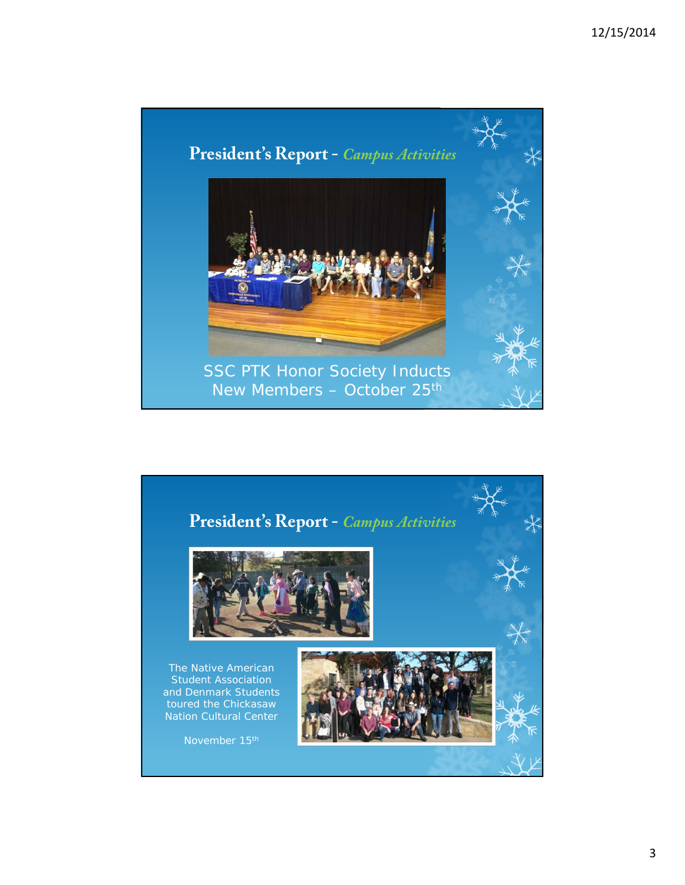

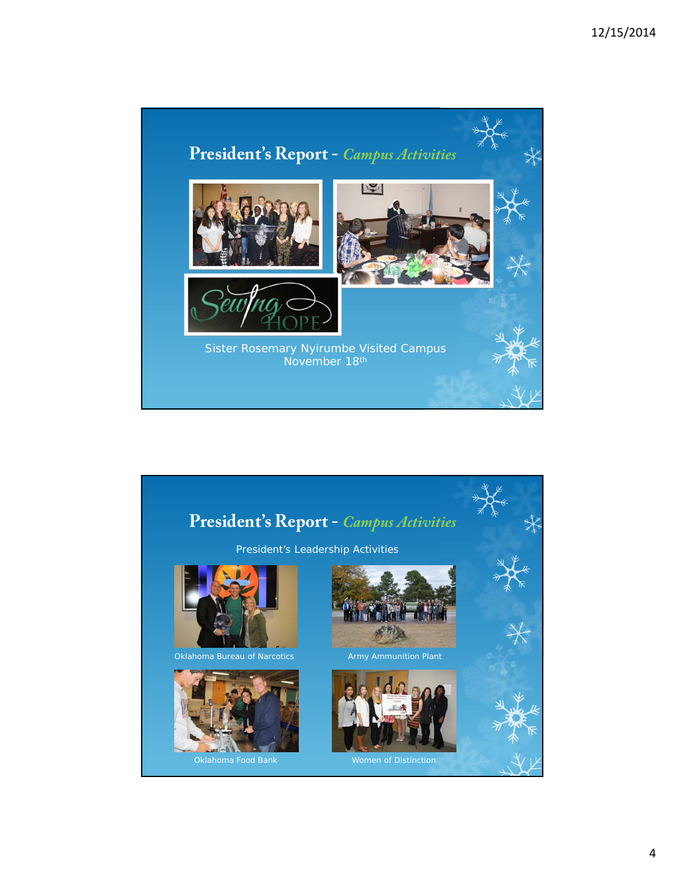

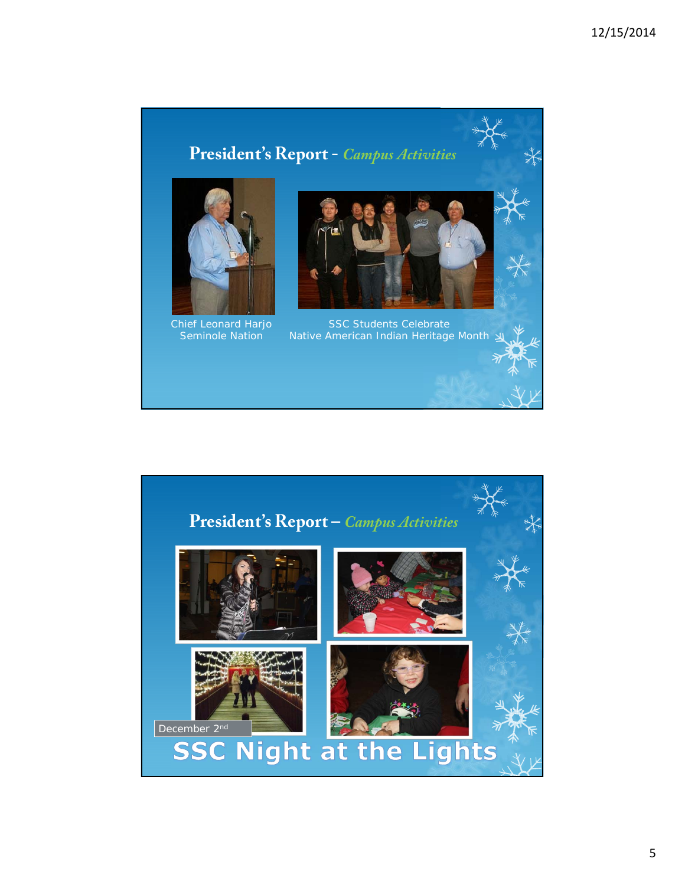# **President's Report -** *Campus Activities*



Chief Leonard Harjo Seminole Nation



SSC Students Celebrate Native American Indian Heritage Month

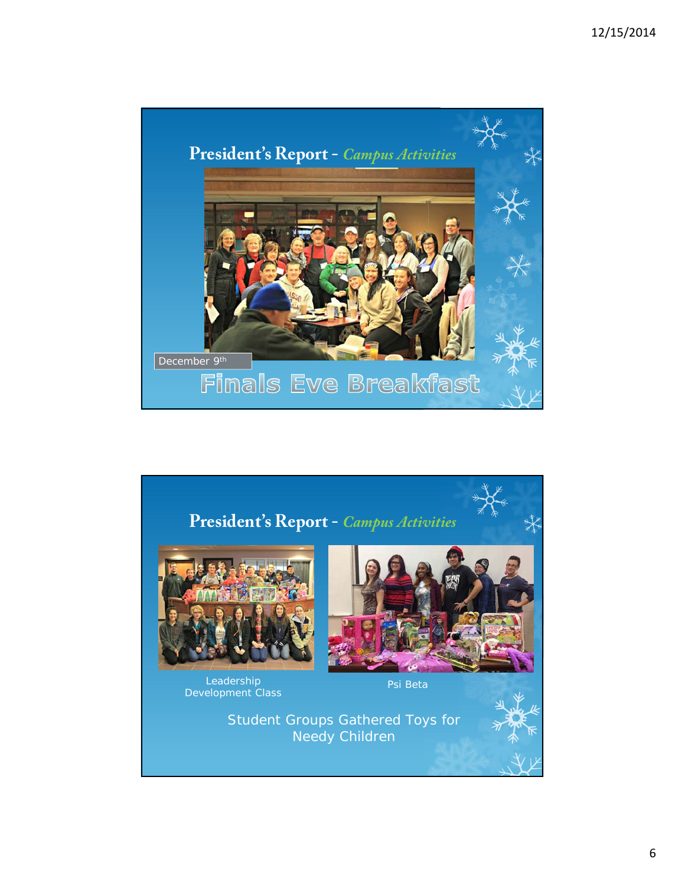

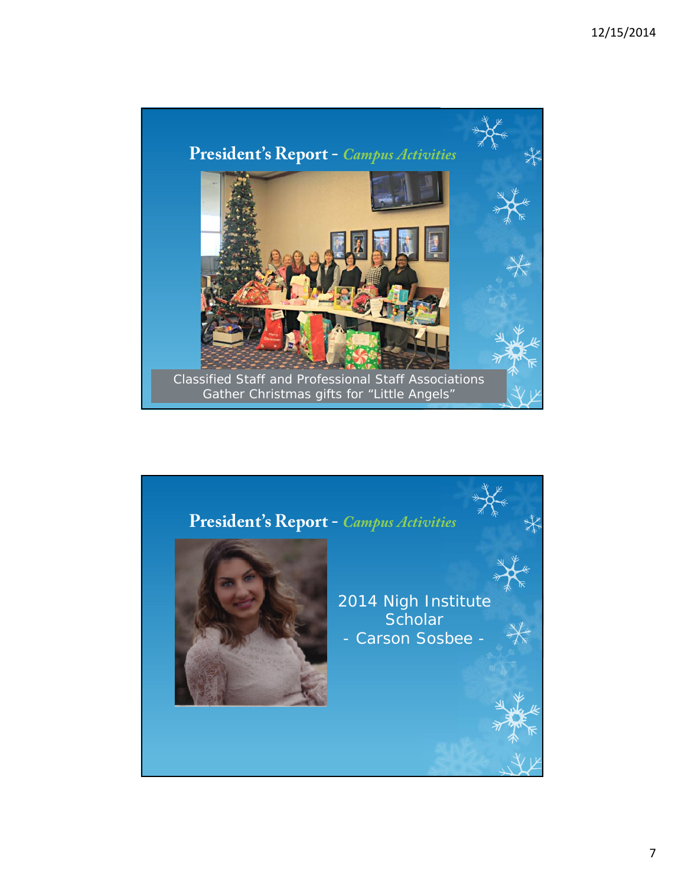

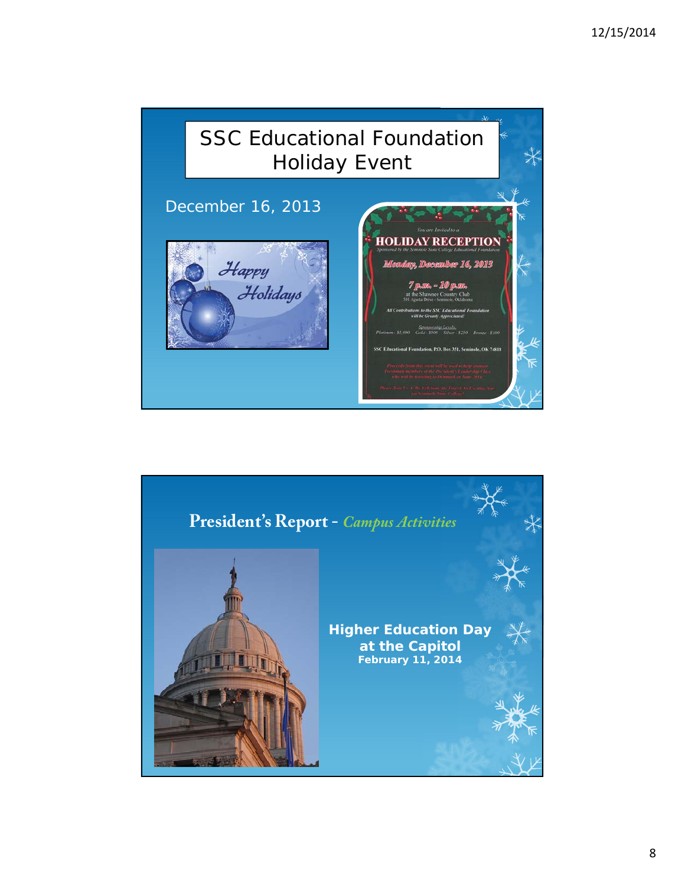

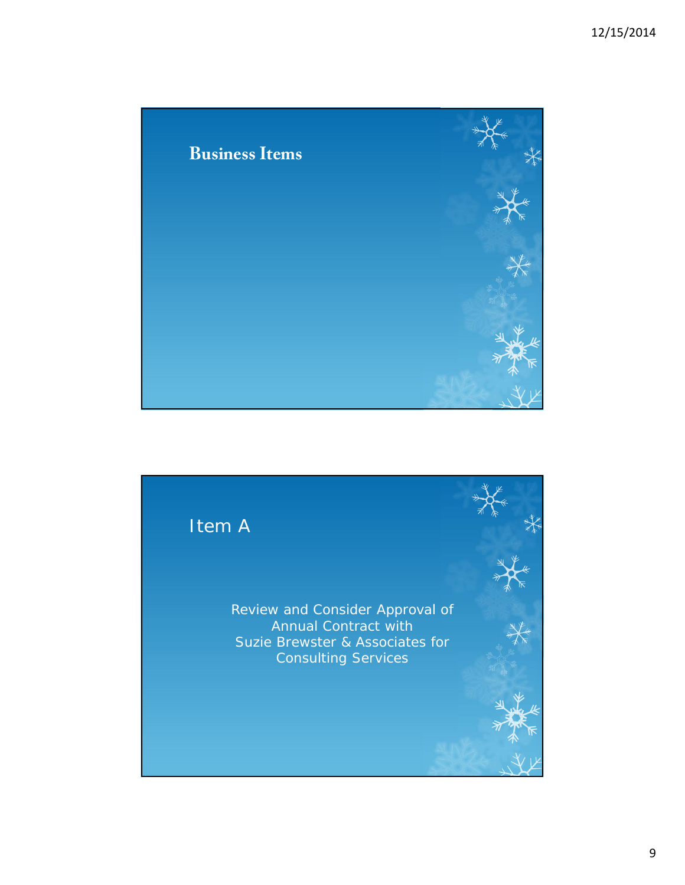



9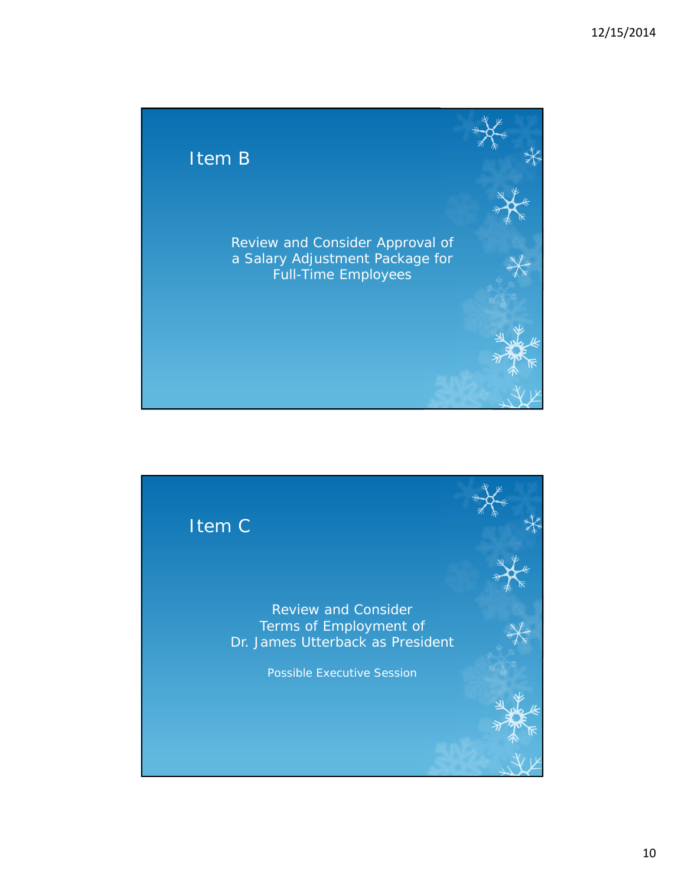

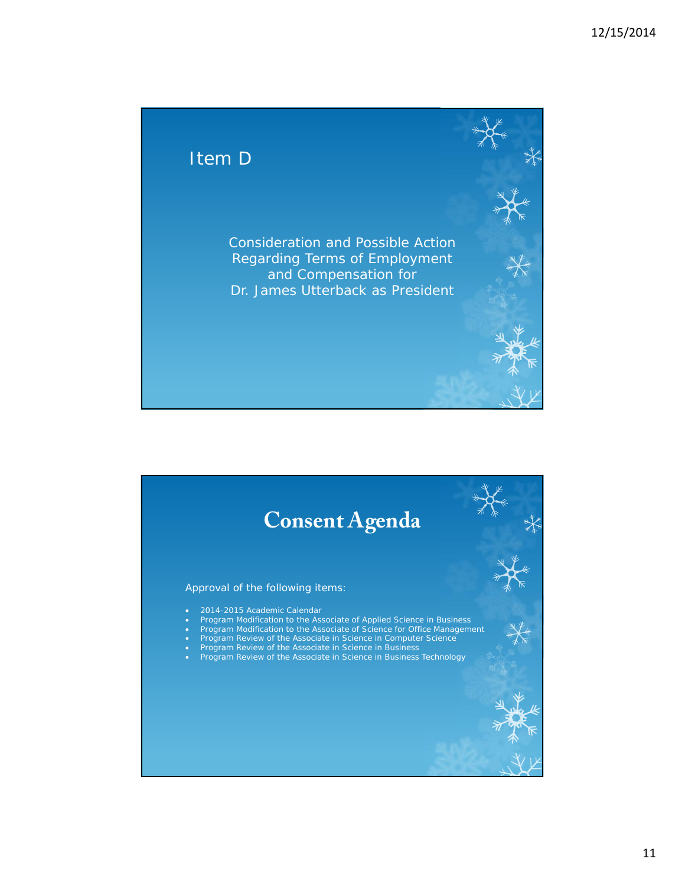